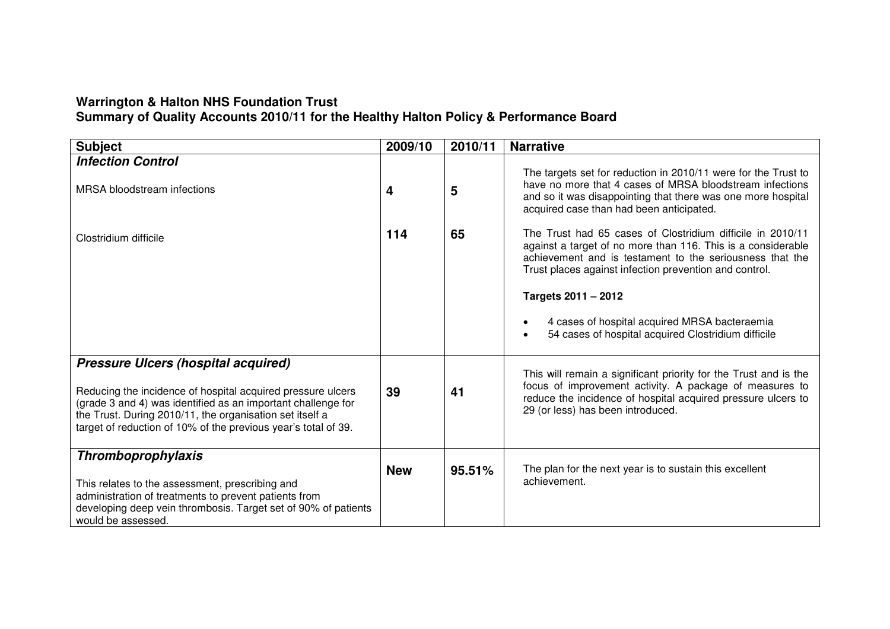# **Warrington & Halton NHS Foundation Trust Summary of Quality Accounts 2010/11 for the Healthy Halton Policy & Performance Board**

| <b>Subject</b>                                                                                                                                                                                                                                                                                          | 2009/10    | 2010/11 | <b>Narrative</b>                                                                                                                                                                                                                                                                                                                                                                                          |
|---------------------------------------------------------------------------------------------------------------------------------------------------------------------------------------------------------------------------------------------------------------------------------------------------------|------------|---------|-----------------------------------------------------------------------------------------------------------------------------------------------------------------------------------------------------------------------------------------------------------------------------------------------------------------------------------------------------------------------------------------------------------|
| <b>Infection Control</b><br>MRSA bloodstream infections                                                                                                                                                                                                                                                 | 4          | 5       | The targets set for reduction in 2010/11 were for the Trust to<br>have no more that 4 cases of MRSA bloodstream infections<br>and so it was disappointing that there was one more hospital<br>acquired case than had been anticipated.                                                                                                                                                                    |
| Clostridium difficile                                                                                                                                                                                                                                                                                   | 114        | 65      | The Trust had 65 cases of Clostridium difficile in 2010/11<br>against a target of no more than 116. This is a considerable<br>achievement and is testament to the seriousness that the<br>Trust places against infection prevention and control.<br>Targets 2011 - 2012<br>4 cases of hospital acquired MRSA bacteraemia<br>$\bullet$<br>54 cases of hospital acquired Clostridium difficile<br>$\bullet$ |
| <b>Pressure Ulcers (hospital acquired)</b><br>Reducing the incidence of hospital acquired pressure ulcers<br>(grade 3 and 4) was identified as an important challenge for<br>the Trust. During 2010/11, the organisation set itself a<br>target of reduction of 10% of the previous year's total of 39. | 39         | 41      | This will remain a significant priority for the Trust and is the<br>focus of improvement activity. A package of measures to<br>reduce the incidence of hospital acquired pressure ulcers to<br>29 (or less) has been introduced.                                                                                                                                                                          |
| <b>Thromboprophylaxis</b><br>This relates to the assessment, prescribing and<br>administration of treatments to prevent patients from<br>developing deep vein thrombosis. Target set of 90% of patients<br>would be assessed.                                                                           | <b>New</b> | 95.51%  | The plan for the next year is to sustain this excellent<br>achievement.                                                                                                                                                                                                                                                                                                                                   |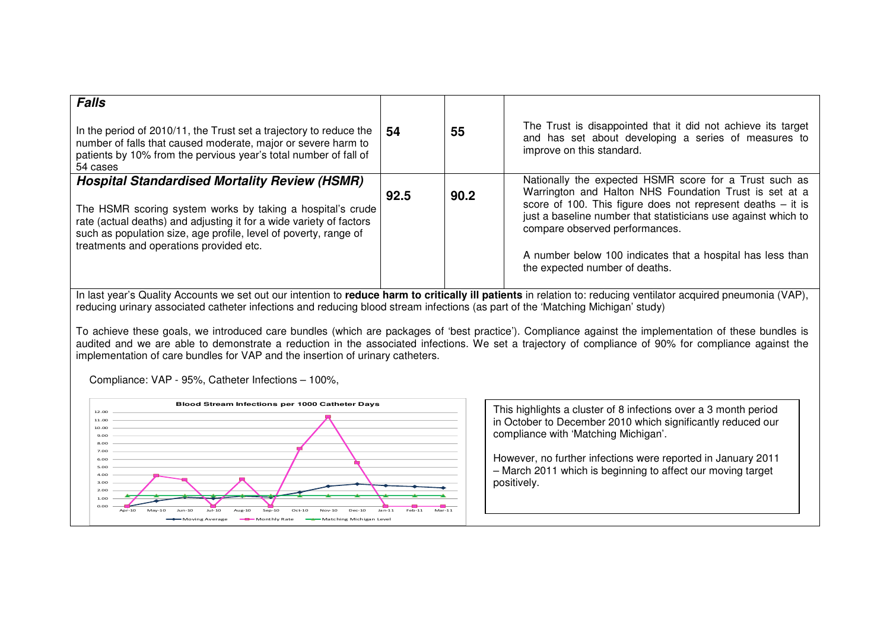| <b>Falls</b><br>In the period of 2010/11, the Trust set a trajectory to reduce the<br>number of falls that caused moderate, major or severe harm to<br>patients by 10% from the pervious year's total number of fall of<br>54 cases                                                                      | -54  | 55   | The Trust is disappointed that it did not achieve its target<br>and has set about developing a series of measures to<br>improve on this standard.                                                                                                                                                                                                                                     |
|----------------------------------------------------------------------------------------------------------------------------------------------------------------------------------------------------------------------------------------------------------------------------------------------------------|------|------|---------------------------------------------------------------------------------------------------------------------------------------------------------------------------------------------------------------------------------------------------------------------------------------------------------------------------------------------------------------------------------------|
| <b>Hospital Standardised Mortality Review (HSMR)</b><br>The HSMR scoring system works by taking a hospital's crude<br>rate (actual deaths) and adjusting it for a wide variety of factors<br>such as population size, age profile, level of poverty, range of<br>treatments and operations provided etc. | 92.5 | 90.2 | Nationally the expected HSMR score for a Trust such as<br>Warrington and Halton NHS Foundation Trust is set at a<br>score of 100. This figure does not represent deaths $-$ it is<br>just a baseline number that statisticians use against which to<br>compare observed performances.<br>A number below 100 indicates that a hospital has less than<br>the expected number of deaths. |

In last year's Quality Accounts we set out our intention to **reduce harm to critically ill patients** in relation to: reducing ventilator acquired pneumonia (VAP), reducing urinary associated catheter infections and reducing blood stream infections (as part of the 'Matching Michigan' study)

To achieve these goals, we introduced care bundles (which are packages of 'best practice'). Compliance against the implementation of these bundles is audited and we are able to demonstrate a reduction in the associated infections. We set a trajectory of compliance of 90% for compliance against the implementation of care bundles for VAP and the insertion of urinary catheters.

Compliance: VAP - 95%, Catheter Infections – 100%,



This highlights a cluster of 8 infections over a 3 month period in October to December 2010 which significantly reduced our compliance with 'Matching Michigan'.

However, no further infections were reported in January 2011 – March 2011 which is beginning to affect our moving target positively.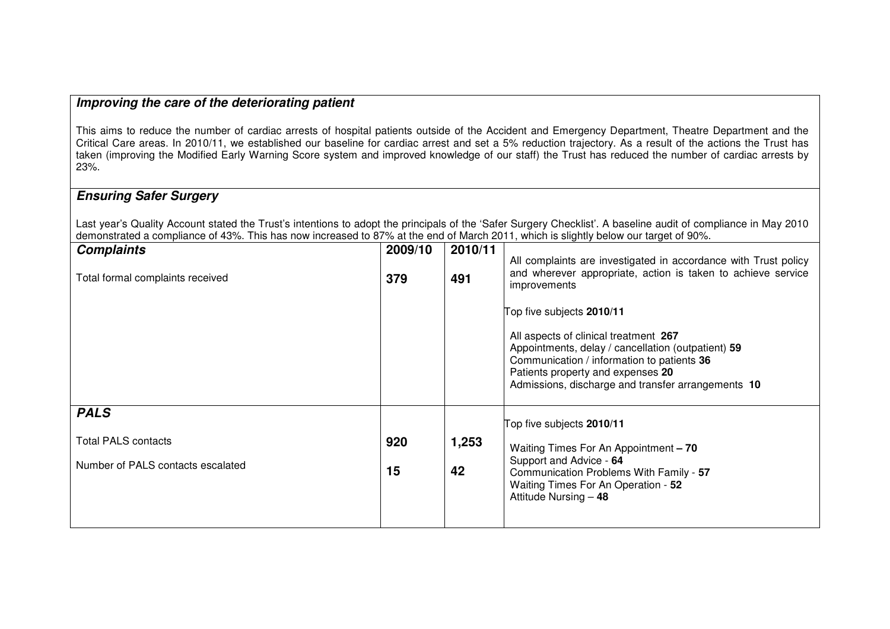## **Improving the care of the deteriorating patient**

This aims to reduce the number of cardiac arrests of hospital patients outside of the Accident and Emergency Department, Theatre Department and the Critical Care areas. In 2010/11, we established our baseline for cardiac arrest and set a 5% reduction trajectory. As a result of the actions the Trust has taken (improving the Modified Early Warning Score system and improved knowledge of our staff) the Trust has reduced the number of cardiac arrests by 23%.

# **Ensuring Safer Surgery**

Last year's Quality Account stated the Trust's intentions to adopt the principals of the 'Safer Surgery Checklist'. A baseline audit of compliance in May 2010 demonstrated a compliance of 43%. This has now increased to 87% at the end of March 2011, which is slightly below our target of 90%.

| 2009/10<br>379 | 2010/11<br>491 | All complaints are investigated in accordance with Trust policy<br>and wherever appropriate, action is taken to achieve service<br>improvements                                                                                                                   |
|----------------|----------------|-------------------------------------------------------------------------------------------------------------------------------------------------------------------------------------------------------------------------------------------------------------------|
|                |                | Top five subjects 2010/11<br>All aspects of clinical treatment 267<br>Appointments, delay / cancellation (outpatient) 59<br>Communication / information to patients 36<br>Patients property and expenses 20<br>Admissions, discharge and transfer arrangements 10 |
|                |                | Top five subjects 2010/11                                                                                                                                                                                                                                         |
| 920            | 1,253          | Waiting Times For An Appointment - 70                                                                                                                                                                                                                             |
| 15             | 42             | Support and Advice - 64<br>Communication Problems With Family - 57<br>Waiting Times For An Operation - 52<br>Attitude Nursing - 48                                                                                                                                |
|                |                |                                                                                                                                                                                                                                                                   |